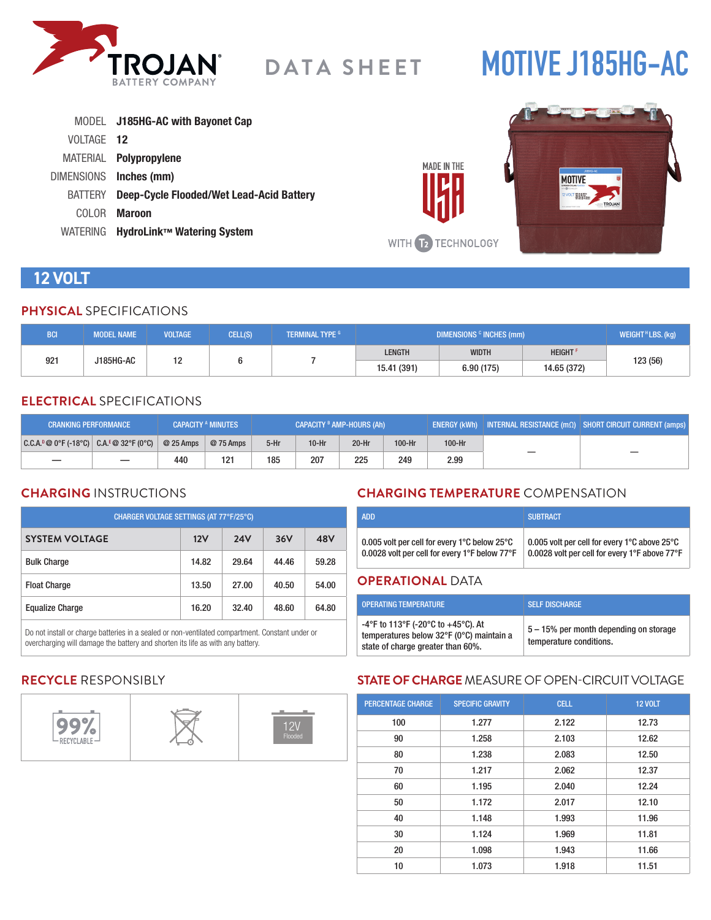

# **MOTIVE J185HG-AC**

|            | MODEL J185HG-AC with Bayonet Cap                |
|------------|-------------------------------------------------|
| VOLTAGE 12 |                                                 |
|            | MATERIAL <b>Polypropylene</b>                   |
|            | DIMENSIONS Inches (mm)                          |
| BATTERY    | <b>Deep-Cycle Flooded/Wet Lead-Acid Battery</b> |
| COLOR.     | <b>Maroon</b>                                   |
| WATERING   | HydroLink™ Watering System                      |



# **12 VOLT**

#### **PHYSICAL** SPECIFICATIONS

| <b>BCI</b>            | <b>MODEL NAME</b> | <b>VOLTAGE</b> | CELL(S)     | <b>TERMINAL TYPE G</b> | DIMENSIONS <sup>c</sup> INCHES (mm) |                            |  | WEIGHT $H$ LBS. (kg) |
|-----------------------|-------------------|----------------|-------------|------------------------|-------------------------------------|----------------------------|--|----------------------|
| 921<br>J185HG-AC<br>ॱ |                   |                |             | <b>LENGTH</b>          | <b>WIDTH</b>                        | <b>HEIGHT</b> <sup>F</sup> |  |                      |
|                       |                   |                | 15.41 (391) | 6.90(175)              | 14.65 (372)                         | 123 (56)                   |  |                      |

### **ELECTRICAL** SPECIFICATIONS

| <b>CRANKING PERFORMANCE</b>                   |            | <b>CAPACITY A MINUTES</b> | CAPACITY <sup>B</sup> AMP-HOURS (Ah) |         |         | ENERGY (kWh)   INTERNAL RESISTANCE $\overline{(m\Omega)}$   SHORT CIRCUIT CURRENT (amps) |        |  |
|-----------------------------------------------|------------|---------------------------|--------------------------------------|---------|---------|------------------------------------------------------------------------------------------|--------|--|
| $ C.C.A.^p@0^cF(-18^cC)  C.A.^E@32^cF(0^cC) $ | $@25$ Amps | @ 75 Amps                 | $5-Hr$                               | $10-Hr$ | $20-Hr$ | 100-Hr                                                                                   | 100-Hr |  |
|                                               | 440        | 121                       | 185                                  | 207     | 225     | 249                                                                                      | 2.99   |  |

## **CHARGING** INSTRUCTIONS

| CHARGER VOLTAGE SETTINGS (AT 77°F/25°C) |       |            |       |       |  |
|-----------------------------------------|-------|------------|-------|-------|--|
| <b>SYSTEM VOLTAGE</b>                   | 12V   | <b>24V</b> | 36V   | 48V   |  |
| <b>Bulk Charge</b>                      | 14.82 | 29.64      | 44.46 | 59.28 |  |
| <b>Float Charge</b>                     | 13.50 | 27.00      | 40.50 | 54.00 |  |
| <b>Equalize Charge</b>                  | 16.20 | 32.40      | 48.60 | 64.80 |  |

Do not install or charge batteries in a sealed or non-ventilated compartment. Constant under or overcharging will damage the battery and shorten its life as with any battery.

## **CHARGING TEMPERATURE** COMPENSATION

| <b>ADD</b>                                    | <b>SUBTRACT</b>                               |
|-----------------------------------------------|-----------------------------------------------|
| 0.005 volt per cell for every 1°C below 25°C  | 0.005 volt per cell for every 1°C above 25°C  |
| 0.0028 volt per cell for every 1°F below 77°F | 0.0028 volt per cell for every 1°F above 77°F |

#### **OPERATIONAL** DATA

**MADE IN THE** 

| <b>OPERATING TEMPERATURE</b>                                                                                        | <b>SELF DISCHARGE</b>                                             |
|---------------------------------------------------------------------------------------------------------------------|-------------------------------------------------------------------|
| -4°F to 113°F (-20°C to +45°C). At<br>temperatures below 32°F (0°C) maintain a<br>state of charge greater than 60%. | 5 – 15% per month depending on storage<br>temperature conditions. |

## **RECYCLE** RESPONSIBLY



### **STATE OF CHARGE** MEASURE OF OPEN-CIRCUIT VOLTAGE

| <b>PERCENTAGE CHARGE</b> | <b>SPECIFIC GRAVITY</b> | <b>CELL</b> | <b>12 VOLT</b> |
|--------------------------|-------------------------|-------------|----------------|
| 100                      | 1.277                   | 2.122       | 12.73          |
| 90                       | 1.258                   | 2.103       | 12.62          |
| 80                       | 1.238                   | 2.083       | 12.50          |
| 70                       | 1.217                   | 2.062       | 12.37          |
| 60                       | 1.195                   | 2.040       | 12.24          |
| 50                       | 1.172                   | 2.017       | 12.10          |
| 40                       | 1.148                   | 1.993       | 11.96          |
| 30                       | 1.124                   | 1.969       | 11.81          |
| 20                       | 1.098                   | 1.943       | 11.66          |
| 10                       | 1.073                   | 1.918       | 11.51          |